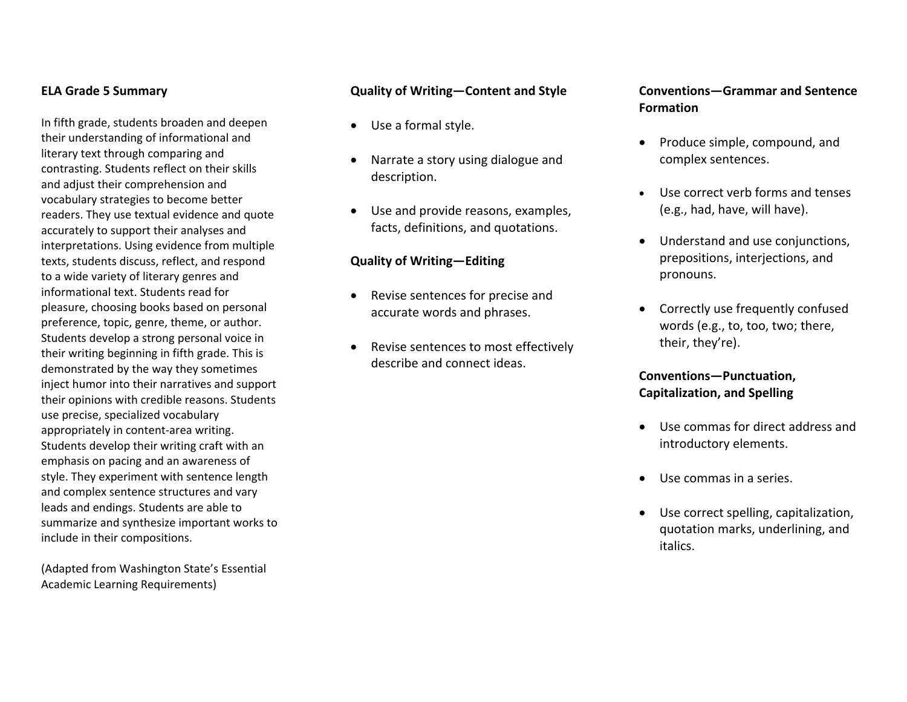#### **ELA Grade 5 Summary**

In fifth grade, students broaden and deepen their understanding of informational and literary text through comparing and contrasting. Students reflect on their skills and adjust their comprehension and vocabulary strategies to become better readers. They use textual evidence and quote accurately to support their analyses and interpretations. Using evidence from multiple texts, students discuss, reflect, and respond to <sup>a</sup> wide variety of literary genres and informational text. Students read for pleasure, choosing books based on personal preference, topic, genre, theme, or author. Students develop <sup>a</sup> strong personal voice in their writing beginning in fifth grade. This is demonstrated by the way they sometimes inject humor into their narratives and support their opinions with credible reasons. Students use precise, specialized vocabulary appropriately in content‐area writing. Students develop their writing craft with an emphasis on pacing and an awareness of style. They experiment with sentence length and complex sentence structures and vary leads and endings. Students are able to summarize and synthesize important works to include in their compositions.

(Adapted from Washington State's Essential Academic Learning Requirements)

#### **Quality of Writing—Content and Style**

- Use <sup>a</sup> formal style.
- $\bullet$  Narrate <sup>a</sup> story using dialogue and description.
- Use and provide reasons, examples, facts, definitions, and quotations.

#### **Quality of Writing—Editing**

- $\bullet$  Revise sentences for precise and accurate words and phrases.
- $\bullet$ • Revise sentences to most effectively describe and connect ideas.

### **Conventions—Grammar and Sentence Formation**

- Produce simple, compound, and complex sentences.
- Use correct verb forms and tenses (e.g., had, have, will have).
- Understand and use conjunctions, prepositions, interjections, and pronouns.
- Correctly use frequently confused words (e.g., to, too, two; there, their, they're).

### **Conventions—Punctuation, Capitalization, and Spelling**

- Use commas for direct address andintroductory elements.
- Use commas in <sup>a</sup> series.
- Use correct spelling, capitalization, quotation marks, underlining, and italics.